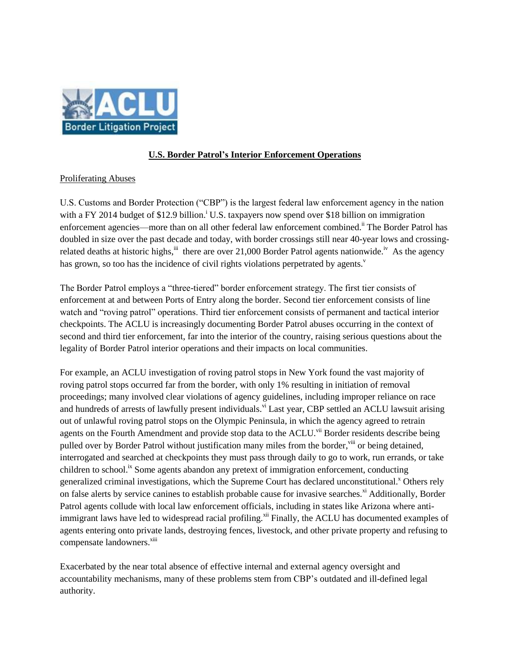

## **U.S. Border Patrol's Interior Enforcement Operations**

## Proliferating Abuses

U.S. Customs and Border Protection ("CBP") is the largest federal law enforcement agency in the nation with a FY 2014 budget of  $$12.9$  billion.<sup>i</sup> U.S. taxpayers now spend over \$18 billion on immigration enforcement agencies—more than on all other federal law enforcement combined.<sup>ii</sup> The Border Patrol has doubled in size over the past decade and today, with border crossings still near 40-year lows and crossingrelated deaths at historic highs,  $\ddot{}}$  there are over 21,000 Border Patrol agents nationwide.<sup>iv</sup> As the agency has grown, so too has the incidence of civil rights violations perpetrated by agents.<sup>v</sup>

The Border Patrol employs a "three-tiered" border enforcement strategy. The first tier consists of enforcement at and between Ports of Entry along the border. Second tier enforcement consists of line watch and "roving patrol" operations. Third tier enforcement consists of permanent and tactical interior checkpoints. The ACLU is increasingly documenting Border Patrol abuses occurring in the context of second and third tier enforcement, far into the interior of the country, raising serious questions about the legality of Border Patrol interior operations and their impacts on local communities.

For example, an ACLU investigation of roving patrol stops in New York found the vast majority of roving patrol stops occurred far from the border, with only 1% resulting in initiation of removal proceedings; many involved clear violations of agency guidelines, including improper reliance on race and hundreds of arrests of lawfully present individuals.<sup>vi</sup> Last year, CBP settled an ACLU lawsuit arising out of unlawful roving patrol stops on the Olympic Peninsula, in which the agency agreed to retrain agents on the Fourth Amendment and provide stop data to the ACLU.<sup>vii</sup> Border residents describe being pulled over by Border Patrol without justification many miles from the border, vill or being detained, interrogated and searched at checkpoints they must pass through daily to go to work, run errands, or take children to school.<sup>ix</sup> Some agents abandon any pretext of immigration enforcement, conducting generalized criminal investigations, which the Supreme Court has declared unconstitutional.<sup>x</sup> Others rely on false alerts by service canines to establish probable cause for invasive searches.<sup>xi</sup> Additionally, Border Patrol agents collude with local law enforcement officials, including in states like Arizona where antiimmigrant laws have led to widespread racial profiling.<sup>xii</sup> Finally, the ACLU has documented examples of agents entering onto private lands, destroying fences, livestock, and other private property and refusing to compensate landowners.<sup>xiii</sup>

Exacerbated by the near total absence of effective internal and external agency oversight and accountability mechanisms, many of these problems stem from CBP's outdated and ill-defined legal authority.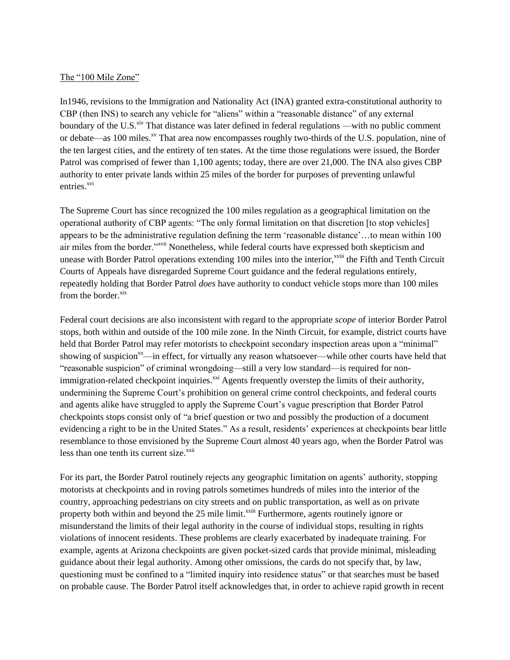## The "100 Mile Zone"

In1946, revisions to the Immigration and Nationality Act (INA) granted extra-constitutional authority to CBP (then INS) to search any vehicle for "aliens" within a "reasonable distance" of any external boundary of the U.S.<sup>xiv</sup> That distance was later defined in federal regulations —with no public comment or debate—as 100 miles.<sup>xv</sup> That area now encompasses roughly two-thirds of the U.S. population, nine of the ten largest cities, and the entirety of ten states. At the time those regulations were issued, the Border Patrol was comprised of fewer than 1,100 agents; today, there are over 21,000. The INA also gives CBP authority to enter private lands within 25 miles of the border for purposes of preventing unlawful entries.<sup>xvi</sup>

The Supreme Court has since recognized the 100 miles regulation as a geographical limitation on the operational authority of CBP agents: "The only formal limitation on that discretion [to stop vehicles] appears to be the administrative regulation defining the term 'reasonable distance'…to mean within 100 air miles from the border."xvii Nonetheless, while federal courts have expressed both skepticism and unease with Border Patrol operations extending 100 miles into the interior,<sup>xviii</sup> the Fifth and Tenth Circuit Courts of Appeals have disregarded Supreme Court guidance and the federal regulations entirely, repeatedly holding that Border Patrol *does* have authority to conduct vehicle stops more than 100 miles from the border. ${}^{xix}$ 

Federal court decisions are also inconsistent with regard to the appropriate *scope* of interior Border Patrol stops, both within and outside of the 100 mile zone. In the Ninth Circuit, for example, district courts have held that Border Patrol may refer motorists to checkpoint secondary inspection areas upon a "minimal" showing of suspicion<sup>xx</sup>—in effect, for virtually any reason whatsoever—while other courts have held that "reasonable suspicion" of criminal wrongdoing—still a very low standard—is required for nonimmigration-related checkpoint inquiries.<sup>xxi</sup> Agents frequently overstep the limits of their authority, undermining the Supreme Court's prohibition on general crime control checkpoints, and federal courts and agents alike have struggled to apply the Supreme Court's vague prescription that Border Patrol checkpoints stops consist only of "a brief question or two and possibly the production of a document evidencing a right to be in the United States." As a result, residents' experiences at checkpoints bear little resemblance to those envisioned by the Supreme Court almost 40 years ago, when the Border Patrol was less than one tenth its current size.<sup>xxii</sup>

For its part, the Border Patrol routinely rejects any geographic limitation on agents' authority, stopping motorists at checkpoints and in roving patrols sometimes hundreds of miles into the interior of the country, approaching pedestrians on city streets and on public transportation, as well as on private property both within and beyond the 25 mile limit.<sup>xxiii</sup> Furthermore, agents routinely ignore or misunderstand the limits of their legal authority in the course of individual stops, resulting in rights violations of innocent residents. These problems are clearly exacerbated by inadequate training. For example, agents at Arizona checkpoints are given pocket-sized cards that provide minimal, misleading guidance about their legal authority. Among other omissions, the cards do not specify that, by law, questioning must be confined to a "limited inquiry into residence status" or that searches must be based on probable cause. The Border Patrol itself acknowledges that, in order to achieve rapid growth in recent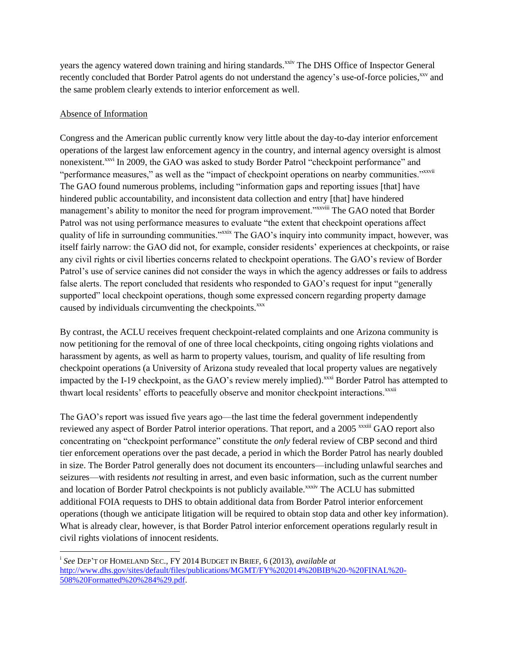years the agency watered down training and hiring standards.<sup>xxiv</sup> The DHS Office of Inspector General recently concluded that Border Patrol agents do not understand the agency's use-of-force policies,<sup>xxv</sup> and the same problem clearly extends to interior enforcement as well.

## Absence of Information

 $\overline{\phantom{a}}$ 

Congress and the American public currently know very little about the day-to-day interior enforcement operations of the largest law enforcement agency in the country, and internal agency oversight is almost nonexistent.<sup>xxvi</sup> In 2009, the GAO was asked to study Border Patrol "checkpoint performance" and "performance measures," as well as the "impact of checkpoint operations on nearby communities."<sup>xxvii</sup> The GAO found numerous problems, including "information gaps and reporting issues [that] have hindered public accountability, and inconsistent data collection and entry [that] have hindered management's ability to monitor the need for program improvement."xxviii The GAO noted that Border Patrol was not using performance measures to evaluate "the extent that checkpoint operations affect quality of life in surrounding communities."<sup>xxix</sup> The GAO's inquiry into community impact, however, was itself fairly narrow: the GAO did not, for example, consider residents' experiences at checkpoints, or raise any civil rights or civil liberties concerns related to checkpoint operations. The GAO's review of Border Patrol's use of service canines did not consider the ways in which the agency addresses or fails to address false alerts. The report concluded that residents who responded to GAO's request for input "generally supported" local checkpoint operations, though some expressed concern regarding property damage caused by individuals circumventing the checkpoints.<sup>xxx</sup>

By contrast, the ACLU receives frequent checkpoint-related complaints and one Arizona community is now petitioning for the removal of one of three local checkpoints, citing ongoing rights violations and harassment by agents, as well as harm to property values, tourism, and quality of life resulting from checkpoint operations (a University of Arizona study revealed that local property values are negatively impacted by the I-19 checkpoint, as the GAO's review merely implied).<sup>xxxi</sup> Border Patrol has attempted to thwart local residents' efforts to peacefully observe and monitor checkpoint interactions.<sup>xxxii</sup>

The GAO's report was issued five years ago—the last time the federal government independently reviewed any aspect of Border Patrol interior operations. That report, and a 2005<sup>xxxiii</sup> GAO report also concentrating on "checkpoint performance" constitute the *only* federal review of CBP second and third tier enforcement operations over the past decade, a period in which the Border Patrol has nearly doubled in size. The Border Patrol generally does not document its encounters—including unlawful searches and seizures—with residents *not* resulting in arrest, and even basic information, such as the current number and location of Border Patrol checkpoints is not publicly available.<sup>xxxiv</sup> The ACLU has submitted additional FOIA requests to DHS to obtain additional data from Border Patrol interior enforcement operations (though we anticipate litigation will be required to obtain stop data and other key information). What is already clear, however, is that Border Patrol interior enforcement operations regularly result in civil rights violations of innocent residents.

i *See* DEP'T OF HOMELAND SEC., FY 2014 BUDGET IN BRIEF, 6 (2013), *available at*  [http://www.dhs.gov/sites/default/files/publications/MGMT/FY%202014%20BIB%20-%20FINAL%20-](http://www.dhs.gov/sites/default/files/publications/MGMT/FY%202014%20BIB%20-%20FINAL%20-508%20Formatted%20%284%29.pdf) [508%20Formatted%20%284%29.pdf.](http://www.dhs.gov/sites/default/files/publications/MGMT/FY%202014%20BIB%20-%20FINAL%20-508%20Formatted%20%284%29.pdf)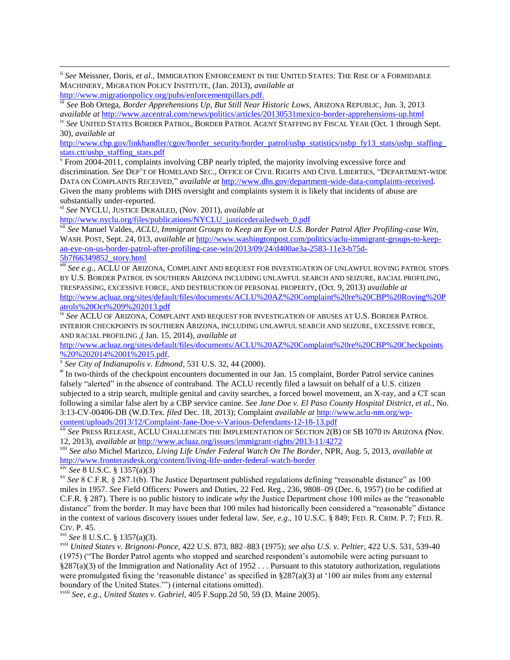ii *See* Meissner, Doris, *et al*., IMMIGRATION ENFORCEMENT IN THE UNITED STATES: THE RISE OF A FORMIDABLE MACHINERY, MIGRATION POLICY INSTITUTE, (Jan. 2013), *available at*

[http://www.migrationpolicy.org/pubs/enforcementpillars.pdf.](http://www.migrationpolicy.org/pubs/enforcementpillars.pdf)

 $\overline{\phantom{a}}$ 

iii *See* Bob Ortega, *Border Apprehensions Up, But Still Near Historic Lows*, ARIZONA REPUBLIC, Jun. 3, 2013 *available at* <http://www.azcentral.com/news/politics/articles/20130531mexico-border-apprehensions-up.html>

iv *See* UNITED STATES BORDER PATROL, BORDER PATROL AGENT STAFFING BY FISCAL YEAR (Oct. 1 through Sept. 30), *available at*

http://www.cbp.gov/linkhandler/cgov/border\_security/border\_patrol/usbp\_statistics/usbp\_fy13\_stats/usbp\_staffing [stats.ctt/usbp\\_staffing\\_stats.pdf](http://www.cbp.gov/linkhandler/cgov/border_security/border_patrol/usbp_statistics/usbp_fy13_stats/usbp_staffing_stats.ctt/usbp_staffing_stats.pdf)

<sup>v</sup> From 2004-2011, complaints involving CBP nearly tripled, the majority involving excessive force and discrimination. *See* DEP'T OF HOMELAND SEC., OFFICE OF CIVIL RIGHTS AND CIVIL LIBERTIES, "DEPARTMENT-WIDE DATA ON COMPLAINTS RECEIVED," *available at http://www.dhs.gov/department-wide-data-complaints-received.* Given the many problems with DHS oversight and complaints system it is likely that incidents of abuse are substantially under-reported.

vi *See* NYCLU, JUSTICE DERAILED*,* (Nov. 2011), *available at* 

[http://www.nyclu.org/files/publications/NYCLU\\_justicederailedweb\\_0.pdf](http://www.nyclu.org/files/publications/NYCLU_justicederailedweb_0.pdf)

vii *See* Manuel Valdes, *ACLU, Immigrant Groups to Keep an Eye on U.S. Border Patrol After Profiling-case Win*, WASH. POST, Sept. 24, 013, *available at* [http://www.washingtonpost.com/politics/aclu-immigrant-groups-to-keep](http://www.washingtonpost.com/politics/aclu-immigrant-groups-to-keep-an-eye-on-us-border-patrol-after-profiling-case-win/2013/09/24/d400ae3a-2583-11e3-b75d-5b7f66349852_story.html)[an-eye-on-us-border-patrol-after-profiling-case-win/2013/09/24/d400ae3a-2583-11e3-b75d-](http://www.washingtonpost.com/politics/aclu-immigrant-groups-to-keep-an-eye-on-us-border-patrol-after-profiling-case-win/2013/09/24/d400ae3a-2583-11e3-b75d-5b7f66349852_story.html)[5b7f66349852\\_story.html](http://www.washingtonpost.com/politics/aclu-immigrant-groups-to-keep-an-eye-on-us-border-patrol-after-profiling-case-win/2013/09/24/d400ae3a-2583-11e3-b75d-5b7f66349852_story.html)

viii *See e.g.*, ACLU OF ARIZONA, COMPLAINT AND REQUEST FOR INVESTIGATION OF UNLAWFUL ROVING PATROL STOPS BY U.S. BORDER PATROL IN SOUTHERN ARIZONA INCLUDING UNLAWFUL SEARCH AND SEIZURE, RACIAL PROFILING, TRESPASSING, EXCESSIVE FORCE, AND DESTRUCTION OF PERSONAL PROPERTY, (Oct. 9, 2013) *available at*  [http://www.acluaz.org/sites/default/files/documents/ACLU%20AZ%20Complaint%20re%20CBP%20Roving%20P](http://www.acluaz.org/sites/default/files/documents/ACLU%20AZ%20Complaint%20re%20CBP%20Roving%20Patrols%20Oct%209%202013.pdf) [atrols%20Oct%209%202013.pdf](http://www.acluaz.org/sites/default/files/documents/ACLU%20AZ%20Complaint%20re%20CBP%20Roving%20Patrols%20Oct%209%202013.pdf)

ix *See* ACLU OF ARIZONA, COMPLAINT AND REQUEST FOR INVESTIGATION OF ABUSES AT U.S. BORDER PATROL INTERIOR CHECKPOINTS IN SOUTHERN ARIZONA, INCLUDING UNLAWFUL SEARCH AND SEIZURE, EXCESSIVE FORCE, AND RACIAL PROFILING ,( Jan. 15, 2014), *available at* 

[http://www.acluaz.org/sites/default/files/documents/ACLU%20AZ%20Complaint%20re%20CBP%20Checkpoints](http://www.acluaz.org/sites/default/files/documents/ACLU%20AZ%20Complaint%20re%20CBP%20Checkpoints%20%202014%2001%2015.pdf) [%20%202014%2001%2015.pdf](http://www.acluaz.org/sites/default/files/documents/ACLU%20AZ%20Complaint%20re%20CBP%20Checkpoints%20%202014%2001%2015.pdf)*.*

x *See City of Indianapolis v. Edmond*, 531 U.S. 32, 44 (2000).

<sup>xi</sup> In two-thirds of the checkpoint encounters documented in our Jan. 15 complaint, Border Patrol service canines falsely "alerted" in the absence of contraband. The ACLU recently filed a lawsuit on behalf of a U.S. citizen subjected to a strip search, multiple genital and cavity searches, a forced bowel movement, an X-ray, and a CT scan following a similar false alert by a CBP service canine. *See Jane Doe v. El Paso County Hospital District, et al.*, No. 3:13-CV-00406-DB (W.D.Tex. *filed* Dec. 18, 2013); Complaint *available at* [http://www.aclu-nm.org/wp](http://www.aclu-nm.org/wp-content/uploads/2013/12/Complaint-Jane-Doe-v-Various-Defendants-12-18-13.pdf)[content/uploads/2013/12/Complaint-Jane-Doe-v-Various-Defendants-12-18-13.pdf](http://www.aclu-nm.org/wp-content/uploads/2013/12/Complaint-Jane-Doe-v-Various-Defendants-12-18-13.pdf)

xii *See* PRESS RELEASE, ACLU CHALLENGES THE IMPLEMENTATION OF SECTION 2(B) OF SB 1070 IN ARIZONA *(*Nov. 12, 2013), *available at* <http://www.acluaz.org/issues/immigrant-rights/2013-11/4272>

xiii *See also* Michel Marizco, *Living Life Under Federal Watch On The Border*, NPR, Aug. 5, 2013, *available at* <http://www.fronterasdesk.org/content/living-life-under-federal-watch-border>

xiv *See* 8 U.S.C. § 1357(a)(3)

xv *See* 8 C.F.R. § 287.1(b). The Justice Department published regulations defining "reasonable distance" as 100 miles in 1957. *See* Field Officers: Powers and Duties, 22 Fed. Reg., 236, 9808–09 (Dec. 6, 1957) (to be codified at C.F.R. § 287). There is no public history to indicate *why* the Justice Department chose 100 miles as the "reasonable distance" from the border. It may have been that 100 miles had historically been considered a "reasonable" distance in the context of various discovery issues under federal law. *See, e.g.*, 10 U.S.C. § 849; FED. R. CRIM. P. 7; FED. R. CIV. P. 45.

xvi *See* 8 U.S.C. § 1357(a)(3).

xvii *United States v. Brignoni-Ponce*, 422 U.S. 873, 882–883 (1975); *see also U.S. v. Peltier*, 422 U.S. 531, 539-40 (1975) ("The Border Patrol agents who stopped and searched respondent's automobile were acting pursuant to  $§287(a)(3)$  of the Immigration and Nationality Act of 1952 ... Pursuant to this statutory authorization, regulations were promulgated fixing the 'reasonable distance' as specified in  $\S 287(a)(3)$  at '100 air miles from any external boundary of the United States.'") (internal citations omitted).

xviii *See, e.g.*, *United States v. Gabriel*, 405 F.Supp.2d 50, 59 (D. Maine 2005).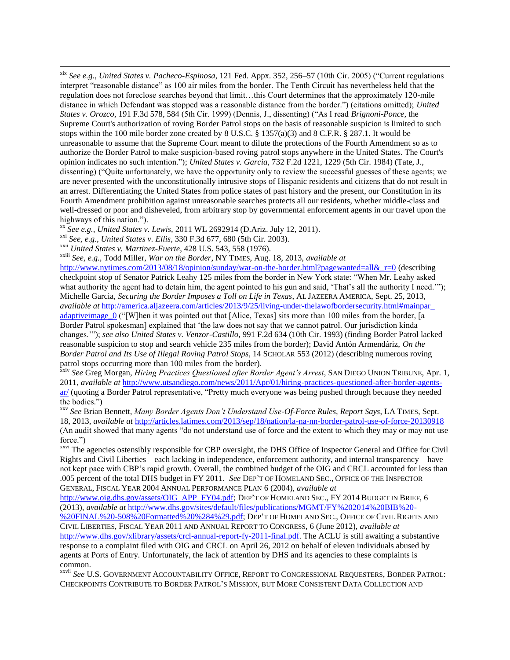xix *See e.g.*, *United States v. Pacheco-Espinosa*, 121 Fed. Appx. 352, 256–57 (10th Cir. 2005) ("Current regulations interpret "reasonable distance" as 100 air miles from the border. The Tenth Circuit has nevertheless held that the regulation does not foreclose searches beyond that limit…this Court determines that the approximately 120-mile distance in which Defendant was stopped was a reasonable distance from the border.") (citations omitted); *United States v. Orozco*, 191 F.3d 578, 584 (5th Cir. 1999) (Dennis, J., dissenting) ("As I read *Brignoni-Ponce,* the Supreme Court's authorization of roving Border Patrol stops on the basis of reasonable suspicion is limited to such stops within the 100 mile border zone created by [8 U.S.C. § 1357\(a\)\(3\)](https://web2.westlaw.com/find/default.wl?mt=WLIGeneralSubscription&db=1000546&rs=WLW14.01&docname=8USCAS1357&rp=%2ffind%2fdefault.wl&findtype=L&ordoc=1999221909&tc=-1&vr=2.0&fn=_top&sv=Split&tf=-1&referencepositiontype=T&pbc=E6CFC076&referenceposition=SP%3b28cc0000ccca6&utid=1) and [8 C.F.R. § 287.1.](https://web2.westlaw.com/find/default.wl?mt=WLIGeneralSubscription&db=1000547&rs=WLW14.01&docname=8CFRS287.1&rp=%2ffind%2fdefault.wl&findtype=L&ordoc=1999221909&tc=-1&vr=2.0&fn=_top&sv=Split&tf=-1&pbc=E6CFC076&utid=1) It would be unreasonable to assume that the Supreme Court meant to dilute the protections of the Fourth Amendment so as to authorize the Border Patrol to make suspicion-based roving patrol stops anywhere in the United States. The Court's opinion indicates no such intention."); *United States v. Garcia*, 732 F.2d 1221, 1229 (5th Cir. 1984) (Tate, J., dissenting) ("Quite unfortunately, we have the opportunity only to review the successful guesses of these agents; we are never presented with the unconstitutionally intrusive stops of Hispanic residents and citizens that do not result in an arrest. Differentiating the United States from police states of past history and the present, our Constitution in its Fourth Amendment prohibition against unreasonable searches protects all our residents, whether middle-class and well-dressed or poor and disheveled, from arbitrary stop by governmental enforcement agents in our travel upon the highways of this nation.").

xx *See e.g.*, *United States v. Lewis,* [2011 WL 2692914 \(D.Ariz. July 12, 2011\).](https://web2.westlaw.com/find/default.wl?mt=73&db=0000999&tc=-1&rp=%2ffind%2fdefault.wl&findtype=Y&ordoc=2027420925&serialnum=2025648936&vr=2.0&fn=_top&sv=Split&tf=-1&pbc=E772B5F3&rs=WLW13.10)

xxi *See, e.g.*, *United States v. Ellis*, 330 F.3d 677, 680 (5th Cir. 2003).

xxii *United States v. Martinez-Fuerte*, 428 U.S. 543, 558 (1976).

 $\overline{\phantom{a}}$ 

xxiii *See, e.g.*, Todd Miller, *War on the Border*, NY TIMES, Aug. 18, 2013, *available at* 

[http://www.nytimes.com/2013/08/18/opinion/sunday/war-on-the-border.html?pagewanted=all&\\_r=0](http://www.nytimes.com/2013/08/18/opinion/sunday/war-on-the-border.html?pagewanted=all&_r=0) (describing checkpoint stop of Senator Patrick Leahy 125 miles from the border in New York state: "When Mr. Leahy asked what authority the agent had to detain him, the agent pointed to his gun and said, 'That's all the authority I need.'"); Michelle Garcia, *Securing the Border Imposes a Toll on Life in Texas*, AL JAZEERA AMERICA, Sept. 25, 2013, *available at* [http://america.aljazeera.com/articles/2013/9/25/living-under-thelawofbordersecurity.html#mainpar\\_](http://america.aljazeera.com/articles/2013/9/25/living-under-thelawofbordersecurity.html#mainpar_ adaptiveimage_0)  adaptive image  $\theta$  ("[W]hen it was pointed out that [Alice, Texas] sits more than 100 miles from the border, [a Border Patrol spokesman] explained that 'the law does not say that we cannot patrol. Our jurisdiction kinda changes.'"); *see also United States v. Venzor-Castillo*, 991 F.2d 634 (10th Cir. 1993) (finding Border Patrol lacked reasonable suspicion to stop and search vehicle 235 miles from the border); David Antón Armendáriz, *On the Border Patrol and Its Use of Illegal Roving Patrol Stops*, 14 SCHOLAR 553 (2012) (describing numerous roving patrol stops occurring more than 100 miles from the border).

xxiv *See* Greg Morgan, *Hiring Practices Questioned after Border Agent's Arrest*, SAN DIEGO UNION TRIBUNE, Apr. 1, 2011, *available at [http://www.utsandiego.com/news/2011/Apr/01/hiring-practices-questioned-after-border-agents](http://www.utsandiego.com/news/2011/Apr/01/hiring-practices-questioned-after-border-agents-ar/)*[ar/](http://www.utsandiego.com/news/2011/Apr/01/hiring-practices-questioned-after-border-agents-ar/) (quoting a Border Patrol representative, "Pretty much everyone was being pushed through because they needed the bodies.")

xxv *See* Brian Bennett, *Many Border Agents Don't Understand Use-Of-Force Rules, Report Says*, LA TIMES, Sept. 18, 2013, *available at* <http://articles.latimes.com/2013/sep/18/nation/la-na-nn-border-patrol-use-of-force-20130918> (An audit showed that many agents "do not understand use of force and the extent to which they may or may not use force.")

xxvi The agencies ostensibly responsible for CBP oversight, the DHS Office of Inspector General and Office for Civil Rights and Civil Liberties – each lacking in independence, enforcement authority, and internal transparency – have not kept pace with CBP's rapid growth. Overall, the combined budget of the OIG and CRCL accounted for less than .005 percent of the total DHS budget in FY 2011. *See* DEP'T OF HOMELAND SEC., OFFICE OF THE INSPECTOR GENERAL, FISCAL YEAR 2004 ANNUAL PERFORMANCE PLAN 6 (2004), *available at*

[http://www.oig.dhs.gov/assets/OIG\\_APP\\_FY04.pdf;](http://www.oig.dhs.gov/assets/OIG_APP_FY04.pdf) DEP'T OF HOMELAND SEC., FY 2014 BUDGET IN BRIEF, 6 (2013), *available at* [http://www.dhs.gov/sites/default/files/publications/MGMT/FY%202014%20BIB%20-](http://www.dhs.gov/sites/default/files/publications/MGMT/FY%202014%20BIB%20-%20FINAL%20-508%20Formatted%20%284%29.pdf)

[%20FINAL%20-508%20Formatted%20%284%29.pdf;](http://www.dhs.gov/sites/default/files/publications/MGMT/FY%202014%20BIB%20-%20FINAL%20-508%20Formatted%20%284%29.pdf) DEP'T OF HOMELAND SEC., OFFICE OF CIVIL RIGHTS AND CIVIL LIBERTIES, FISCAL YEAR 2011 AND ANNUAL REPORT TO CONGRESS, 6 (June 2012), *available at*  [http://www.dhs.gov/xlibrary/assets/crcl-annual-report-fy-2011-final.pdf.](http://www.dhs.gov/xlibrary/assets/crcl-annual-report-fy-2011-final.pdf) The ACLU is still awaiting a substantive response to a complaint filed with OIG and CRCL on April 26, 2012 on behalf of eleven individuals abused by agents at Ports of Entry. Unfortunately, the lack of attention by DHS and its agencies to these complaints is common.

xxvii *See* U.S. GOVERNMENT ACCOUNTABILITY OFFICE, REPORT TO CONGRESSIONAL REQUESTERS, BORDER PATROL: CHECKPOINTS CONTRIBUTE TO BORDER PATROL'S MISSION, BUT MORE CONSISTENT DATA COLLECTION AND